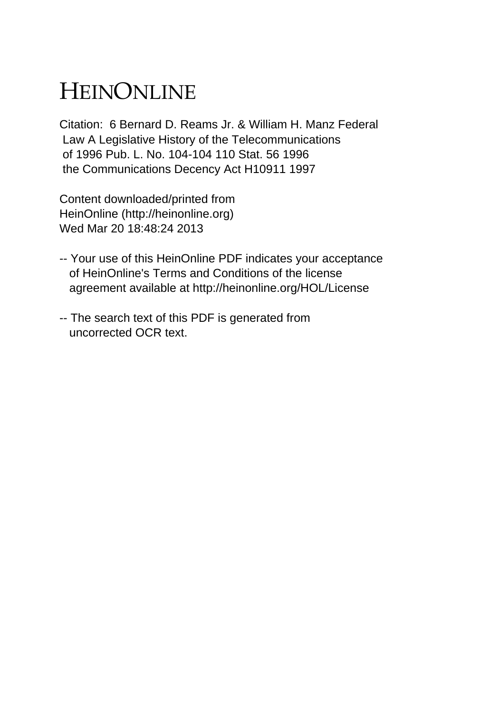## HEINONLINE

Citation: 6 Bernard D. Reams Jr. & William H. Manz Federal Law A Legislative History of the Telecommunications of 1996 Pub. L. No. 104-104 110 Stat. 56 1996 the Communications Decency Act H10911 1997

Content downloaded/printed from HeinOnline (http://heinonline.org) Wed Mar 20 18:48:24 2013

- -- Your use of this HeinOnline PDF indicates your acceptance of HeinOnline's Terms and Conditions of the license agreement available at http://heinonline.org/HOL/License
- -- The search text of this PDF is generated from uncorrected OCR text.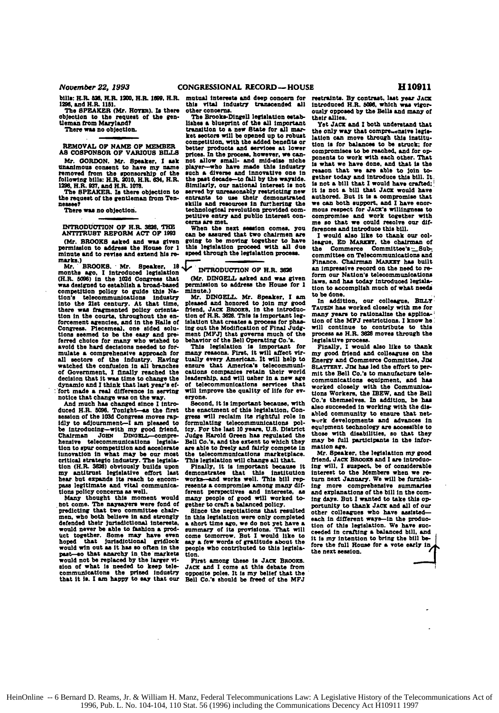**bills: H.R. 826, H.R. 1200, H.R. 1699, H.R. 1296, and H.R. 1151. The SPEAKER (Mr. Hoyga). Is there** 

objection to the request **of** the gen-temn from Maryland?

There was no objection.

REMOVAL **OF NAME OP** MEMBER **AS COSPONSOR OF** VARIOUS BILLS

Mr. GORDON. Mr. Speaker, **I ask** Inanimous consent to have my name removed from the sponsorship of the following bills: H.R. 2010, H.R. 634, H.R. 1296. H.R. **337, and** H.R. **1078.**

The SPEAKER. **Is** there objection to the request **of** the gentleman from Ten- nesse?

There was no objection.

**INTRODUCTION OF** H.R. **306. 'THE** ANTITRUST REFORM ACT OF 1993

(Mr. BROOKS **asked** and was given permission to address the House for **1** minute and to revise and extend his re**marks.)**

Mr. BROOKS. **\*** Mr. Speaker, **18** months ago. **I** introduced legislation (H.R. 509) in the **102d** Congress that was designed to establish a broad-based competition policy to guide this *Na*tion's telecommunications industry into the 21st century. At that time. there **wu** fragmented policy orienta-tion in the courts, throughout the enforcement agencies, and in the Halls of<br>Congress. Piecemeal, one sided solutions seemed to be the easy and preavoid the hard decisions needed to formulate **a** comprehensive approach for **all** sectors of the industry. Having watched the confusion in **all** branches of Government. **I** finally reached the decision that it was time to change the dynamic and **I** think that last year's ef- 'fort made **a** real difference in serving notice that change was on the way.

And much has changed since I intro-<br>duced H.R. 5096. Tonight-as the first session of the **103d** Congress moves **rapidly** to adJournment-I am pleased to be introducing-with my good friend,<br>Chairman JOHN DINGELL-compre-Chairman John Divoril compre-<br>hensive telecommunications legisla-<br>tion to spur competition and accelerate tion to **spur** competition **and** accelerate innovation In what may **be** our most critical strategic industry. The **legisla-**tion (H.R. **3826)** obviously builds upon my antitrust legislative effort last hear **but** expands its reach to encom- **pass** legitimate **and** vital communications policy concerns as well.

Many thought this moment would **.ot** come. The naysayers were fond **of** predicting that two committee chair-<br>men, who both believe in and strongly men, who both believe in and strongly<br>defended their jurisdictional interests,<br>would never be able to fashion a prod-<br>ut together. Some may have even<br>hoped that jurisdictional gridlock<br>would win out as it has so often in t would win out as it has so often in the past-so that anarchy in the markets would not **be** replaced **by** the larger vision of what **Is** needed to keep telecommunicattons the **prized** Industry that it **Is. I am happy to say** that our

mutual interests and **deep** concern for this vital Industry transcended **all** other concerns.

**The** Brooks-Dltgel legislation establishes a blueprint of the **all** important transition to **a** new State for all mar**ket** sectors will **be** opened up to robust competition, with the added benefits or better products and services **at lower prices. In** the process. however, **we** cannot allow small- and mid-else niche player-who have made this industry such a diverse and innovative one In the past decade--to **fail by** the wayside. Similarly, our national Interest **Is** not served **by** unreasonably restricting **new** entrants to use their demonstrated **skills and** resources In furthering the technological revolution provided competitive entry and public Interest concerns **are** met.

When the next session comes, you can **be assured** that two chairmen **are** going to be moving together to have this legislation proceed with **all due speed** through the legislation **process.**

-PINTRODUCTION **OF** H.R. **3626**

(Mr. **DINGELL asked** and was given permission to address the House for **1** minute.)

Mr. **DINOELL.** Mr. Speaker, **I** am pleased **and** honored to join my good **fliend. JACK** BROOS. In the introduction of H.R. **368. This** is Important **leg**islation that creates a process for phas-<br>ing out the Modification of Final Judg-Ing out the Modification of Final Judg- ment **CPFJ]** that governs much of the behavior of the Bell Operating Co.'s.

**This** legislation is important for many reasons. First. it will affect virtually every American. It will **help** to ensure that America's telecommunications companies retain their world leadership, and will usher In a *new* age of telecommunlcatione services that will improve the quality of **life** for everyone.

Second. it **is** Important because, with the enactment of this legislation. Congress will reclaim ito rightful role in formulating telecommunications pol-icy. For the last **10** years. **U.S.** District Judge Harold Green has regulated the Bell Co.'s, and the extent to which they<br>are able to freely and fairly compete in the telecommunications marketplace. This legislation will change **all** that.

Finally, it **is** important because it demonstrates that this institution works,-and works well. This **bill** represents **a** compromise among many **dif**ferent perspectives and Interests, as many people **of** good will worked to-gether to craft a balanced policy.

Since the negotiations that resulted In this legislation were only completed **a** short time ago, we do not yet have **a summary** of its provisions. That will come tomorrow. But **I** would like **to say a** few words of gratitude about the people who contributed to this legislation.

First among these is JACK BROOKS. **JACK** and **I** come at this debate **from** opposite **poles.** It **Is** my belief that the Bell **Co.'s** should **be freed** of the **MFJ** **restraints.** By contrast, last **year JACK** introduced H.R. 5096, which was vigoroualy opposed **by** the Bells and many **of** their **allies.**

Yet **JACK** and **I** both understand that the only **way** that **compre..asive** legislation can move through **this** institution **is** for balances to be struck; for compromises to be reached, and for **op**ponents to work with each other. That **Is what** we have done, and that is the reason that we are able to join together today and introduce **this** bill. It. **is not a bill** that I would **have** crafted; it **is** not a bill that **JACX** would have authored. But It **is a** compromise that **we** can both support, and I have enor**mous** respect for **JACX's** willingness to compromise and work together with me so that we could resolve our **dif**ferences and Introduce this **bill.**

**I** would also **like** to thank our **col**league, ED MARKET, the chairman of the Commerce Committee's *\_\_Sub-*<br>committee on Telecommunications and Finance. Chairman MARKEY has built an impressive record on the need to reform our Nation's telecommunications **laws, and has today** introduced legislation to accomplish much **of** what **needs** to be done.

In addition, our colleague. **BILLY** TAUZIN has worked closely with me for many years to rationalize the application **of** the **MFJ** restrictions. **I** know he'. will continue to contribute to this process as H.R. **3628** moves through the legislative process.

Finally, I would also **like** to thank my good friend and colleagues on the Energy and Commerce Committee, Just SLATTERY. JDI has led the effort to permit the Bell **Co.'s** to manufacture telecommunications equipment, and has worked closely with the Communica-tions Workers. the **mEW.** and the **Bell** Co.'s themselves. **In** addition, he **has** also succeeded In working with the **dis**abled community to ensure that netwurk developments and advances in equipment technology are accessible to those with disabilities, so that they may be full participants in the information **age.**

Mr. Speaker. the legislation my good friend, **JACX** BRoos and **I are** introduoing will, **I** suspect, be **of** considerable interest to the Members when we return next January. We will be furnish-Ing more comprehensive summaries and explanations of the **bill** in the com-Ing days. But **I** wanted to take this opportunity **to** thank **JACK** and **all** of our other colleagues who have assistedeach in different ways-in the production **of** this legislation. We have succeeded in crafting **a balanced bill,** and it is my intention to bring the bill before the full House for a vote early in the next session.

H **10911**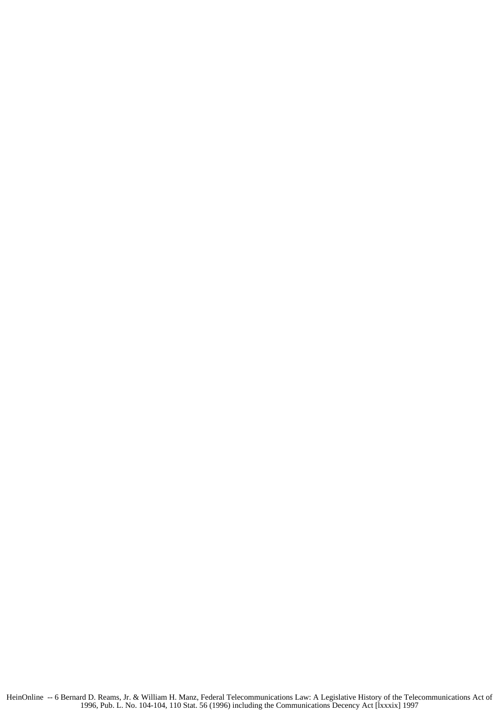HeinOnline -- 6 Bernard D. Reams, Jr. & William H. Manz, Federal Telecommunications Law: A Legislative History of the Telecommunications Act of 1996, Pub. L. No. 104-104, 110 Stat. 56 (1996) including the Communications Decency Act [lxxxix] 1997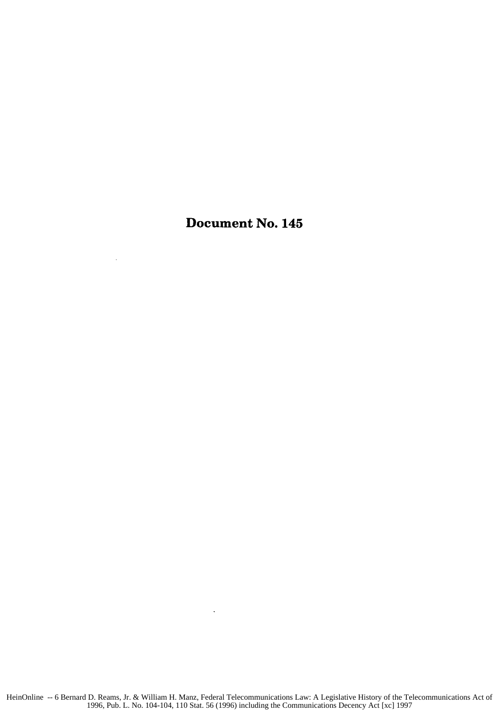Document No. 145

 $\sim 10^{-11}$ 

 $\ddot{\phantom{0}}$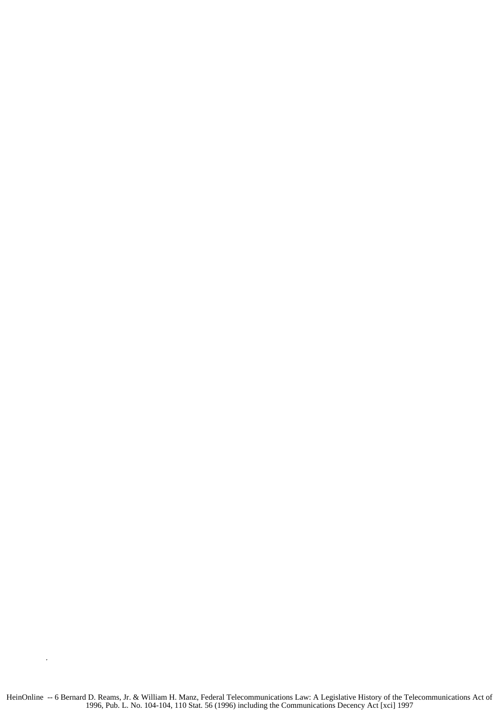HeinOnline -- 6 Bernard D. Reams, Jr. & William H. Manz, Federal Telecommunications Law: A Legislative History of the Telecommunications Act of 1996, Pub. L. No. 104-104, 110 Stat. 56 (1996) including the Communications Decency Act [xci] 1997

 $\sim$